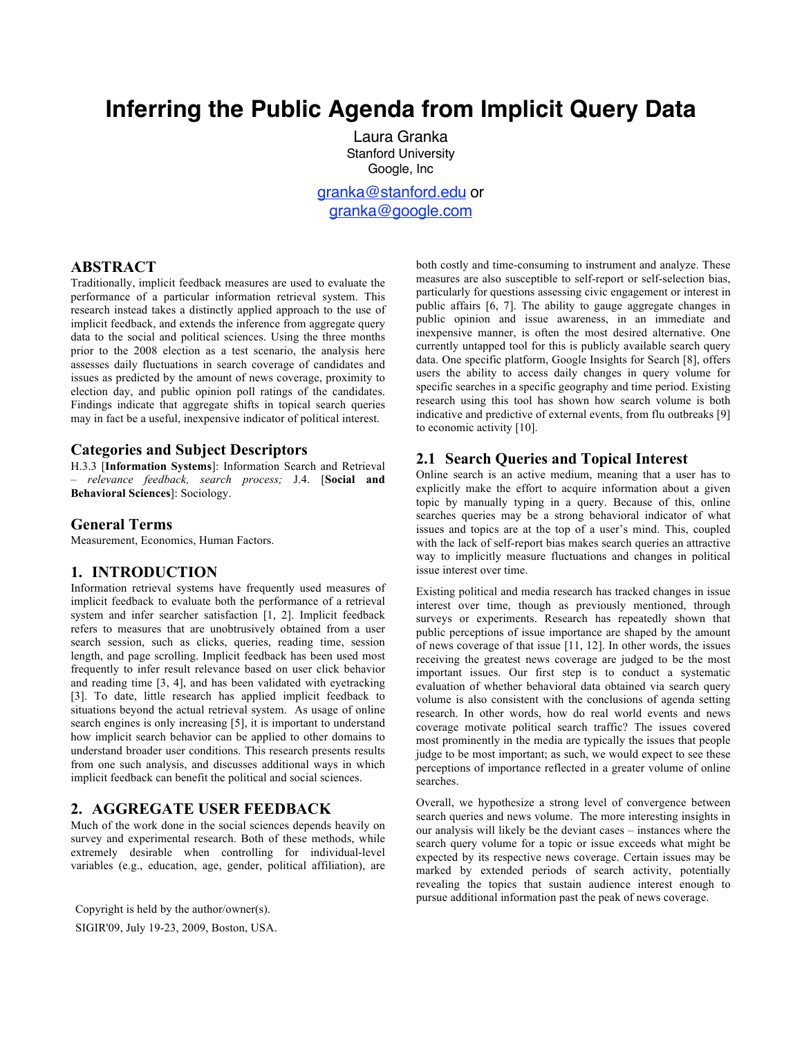# **Inferring the Public Agenda from Implicit Query Data**

Laura Granka Stanford University Google, Inc granka@stanford.edu or

granka@google.com

# **ABSTRACT**

Traditionally, implicit feedback measures are used to evaluate the performance of a particular information retrieval system. This research instead takes a distinctly applied approach to the use of implicit feedback, and extends the inference from aggregate query data to the social and political sciences. Using the three months prior to the 2008 election as a test scenario, the analysis here assesses daily fluctuations in search coverage of candidates and issues as predicted by the amount of news coverage, proximity to election day, and public opinion poll ratings of the candidates. Findings indicate that aggregate shifts in topical search queries may in fact be a useful, inexpensive indicator of political interest.

# **Categories and Subject Descriptors**

H.3.3 [**Information Systems**]: Information Search and Retrieval – *relevance feedback, search process;* J.4. [**Social and Behavioral Sciences**]: Sociology.

### **General Terms**

Measurement, Economics, Human Factors.

# **1. INTRODUCTION**

Information retrieval systems have frequently used measures of implicit feedback to evaluate both the performance of a retrieval system and infer searcher satisfaction [1, 2]. Implicit feedback refers to measures that are unobtrusively obtained from a user search session, such as clicks, queries, reading time, session length, and page scrolling. Implicit feedback has been used most frequently to infer result relevance based on user click behavior and reading time [3, 4], and has been validated with eyetracking [3]. To date, little research has applied implicit feedback to situations beyond the actual retrieval system. As usage of online search engines is only increasing [5], it is important to understand how implicit search behavior can be applied to other domains to understand broader user conditions. This research presents results from one such analysis, and discusses additional ways in which implicit feedback can benefit the political and social sciences.

# **2. AGGREGATE USER FEEDBACK**

Much of the work done in the social sciences depends heavily on survey and experimental research. Both of these methods, while extremely desirable when controlling for individual-level variables (e.g., education, age, gender, political affiliation), are

Copyright is held by the author/owner(s). SIGIR'09, July 19-23, 2009, Boston, USA. both costly and time-consuming to instrument and analyze. These measures are also susceptible to self-report or self-selection bias, particularly for questions assessing civic engagement or interest in public affairs [6, 7]. The ability to gauge aggregate changes in public opinion and issue awareness, in an immediate and inexpensive manner, is often the most desired alternative. One currently untapped tool for this is publicly available search query data. One specific platform, Google Insights for Search [8], offers users the ability to access daily changes in query volume for specific searches in a specific geography and time period. Existing research using this tool has shown how search volume is both indicative and predictive of external events, from flu outbreaks [9] to economic activity [10].

# **2.1 Search Queries and Topical Interest**

Online search is an active medium, meaning that a user has to explicitly make the effort to acquire information about a given topic by manually typing in a query. Because of this, online searches queries may be a strong behavioral indicator of what issues and topics are at the top of a user's mind. This, coupled with the lack of self-report bias makes search queries an attractive way to implicitly measure fluctuations and changes in political issue interest over time.

Existing political and media research has tracked changes in issue interest over time, though as previously mentioned, through surveys or experiments. Research has repeatedly shown that public perceptions of issue importance are shaped by the amount of news coverage of that issue [11, 12]. In other words, the issues receiving the greatest news coverage are judged to be the most important issues. Our first step is to conduct a systematic evaluation of whether behavioral data obtained via search query volume is also consistent with the conclusions of agenda setting research. In other words, how do real world events and news coverage motivate political search traffic? The issues covered most prominently in the media are typically the issues that people judge to be most important; as such, we would expect to see these perceptions of importance reflected in a greater volume of online searches.

Overall, we hypothesize a strong level of convergence between search queries and news volume. The more interesting insights in our analysis will likely be the deviant cases – instances where the search query volume for a topic or issue exceeds what might be expected by its respective news coverage. Certain issues may be marked by extended periods of search activity, potentially revealing the topics that sustain audience interest enough to pursue additional information past the peak of news coverage.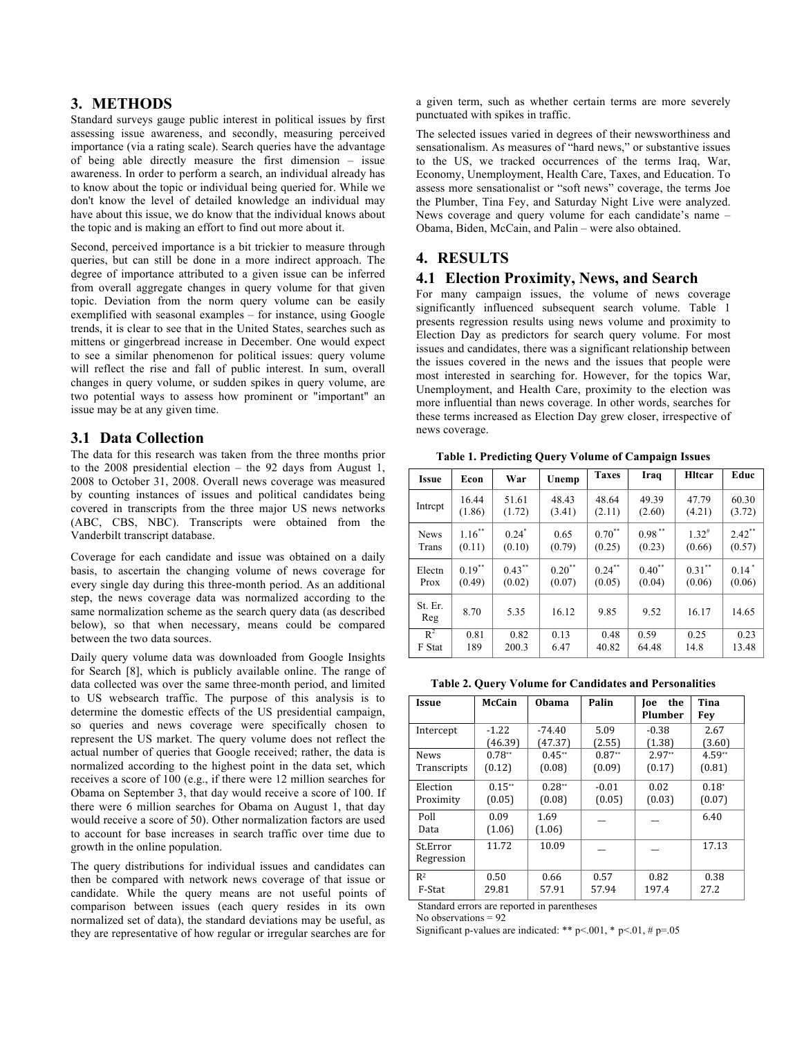# **3. METHODS**

Standard surveys gauge public interest in political issues by first assessing issue awareness, and secondly, measuring perceived importance (via a rating scale). Search queries have the advantage of being able directly measure the first dimension – issue awareness. In order to perform a search, an individual already has to know about the topic or individual being queried for. While we don't know the level of detailed knowledge an individual may have about this issue, we do know that the individual knows about the topic and is making an effort to find out more about it.

Second, perceived importance is a bit trickier to measure through queries, but can still be done in a more indirect approach. The degree of importance attributed to a given issue can be inferred from overall aggregate changes in query volume for that given topic. Deviation from the norm query volume can be easily exemplified with seasonal examples – for instance, using Google trends, it is clear to see that in the United States, searches such as mittens or gingerbread increase in December. One would expect to see a similar phenomenon for political issues: query volume will reflect the rise and fall of public interest. In sum, overall changes in query volume, or sudden spikes in query volume, are two potential ways to assess how prominent or "important" an issue may be at any given time.

# **3.1 Data Collection**

The data for this research was taken from the three months prior to the 2008 presidential election – the 92 days from August 1, 2008 to October 31, 2008. Overall news coverage was measured by counting instances of issues and political candidates being covered in transcripts from the three major US news networks (ABC, CBS, NBC). Transcripts were obtained from the Vanderbilt transcript database.

Coverage for each candidate and issue was obtained on a daily basis, to ascertain the changing volume of news coverage for every single day during this three-month period. As an additional step, the news coverage data was normalized according to the same normalization scheme as the search query data (as described below), so that when necessary, means could be compared between the two data sources.

Daily query volume data was downloaded from Google Insights for Search [8], which is publicly available online. The range of data collected was over the same three-month period, and limited to US websearch traffic. The purpose of this analysis is to determine the domestic effects of the US presidential campaign, so queries and news coverage were specifically chosen to represent the US market. The query volume does not reflect the actual number of queries that Google received; rather, the data is normalized according to the highest point in the data set, which receives a score of 100 (e.g., if there were 12 million searches for Obama on September 3, that day would receive a score of 100. If there were 6 million searches for Obama on August 1, that day would receive a score of 50). Other normalization factors are used to account for base increases in search traffic over time due to growth in the online population.

The query distributions for individual issues and candidates can then be compared with network news coverage of that issue or candidate. While the query means are not useful points of comparison between issues (each query resides in its own normalized set of data), the standard deviations may be useful, as they are representative of how regular or irregular searches are for

a given term, such as whether certain terms are more severely punctuated with spikes in traffic.

The selected issues varied in degrees of their newsworthiness and sensationalism. As measures of "hard news," or substantive issues to the US, we tracked occurrences of the terms Iraq, War, Economy, Unemployment, Health Care, Taxes, and Education. To assess more sensationalist or "soft news" coverage, the terms Joe the Plumber, Tina Fey, and Saturday Night Live were analyzed. News coverage and query volume for each candidate's name – Obama, Biden, McCain, and Palin – were also obtained.

# **4. RESULTS**

## **4.1 Election Proximity, News, and Search**

For many campaign issues, the volume of news coverage significantly influenced subsequent search volume. Table 1 presents regression results using news volume and proximity to Election Day as predictors for search query volume. For most issues and candidates, there was a significant relationship between the issues covered in the news and the issues that people were most interested in searching for. However, for the topics War, Unemployment, and Health Care, proximity to the election was more influential than news coverage. In other words, searches for these terms increased as Election Day grew closer, irrespective of news coverage.

**Table 1. Predicting Query Volume of Campaign Issues**

| <b>Issue</b>   | Econ      | War                 | Unemp       | <b>Taxes</b>         | Iraq        | <b>H</b> Itcar      | Educ                 |
|----------------|-----------|---------------------|-------------|----------------------|-------------|---------------------|----------------------|
| Intrept        | 16.44     | 51.61               | 48.43       | 48.64                | 49.39       | 47.79               | 60.30                |
|                | (1.86)    | (1.72)              | (3.41)      | (2.11)               | (2.60)      | (4.21)              | (3.72)               |
| <b>News</b>    | $1.16***$ | $0.24$ <sup>*</sup> | 0.65        | $0.70^{**}$          | $0.98$ **   | $1.32$ <sup>#</sup> | $2.42$ <sup>**</sup> |
| Trans          | (0.11)    | (0.10)              | (0.79)      | (0.25)               | (0.23)      | (0.66)              | (0.57)               |
| Electn         | $0.19***$ | $0.43***$           | $0.20^{**}$ | $0.24$ <sup>**</sup> | $0.40^{**}$ | $0.31***$           | $0.14*$              |
| Prox           | (0.49)    | (0.02)              | (0.07)      | (0.05)               | (0.04)      | (0.06)              | (0.06)               |
| St. Er.<br>Reg | 8.70      | 5.35                | 16.12       | 9.85                 | 9.52        | 16.17               | 14.65                |
| $R^2$          | 0.81      | 0.82                | 0.13        | 0.48                 | 0.59        | 0.25                | 0.23                 |
| F Stat         | 189       | 200.3               | 6.47        | 40.82                | 64.48       | 14.8                | 13.48                |

**Table 2. Query Volume for Candidates and Personalities**

| Issue                  | <b>McCain</b>  | <b>Obama</b>   | Palin    | the<br><b>Toe</b><br>Plumber | Tina<br>Fev |
|------------------------|----------------|----------------|----------|------------------------------|-------------|
| Intercept              | $-1.22$        | $-74.40$       | 5.09     | $-0.38$                      | 2.67        |
|                        | (46.39)        | (47.37)        | (2.55)   | (1.38)                       | (3.60)      |
| <b>News</b>            | $0.78**$       | $0.45**$       | $0.87**$ | $2.97**$                     | $4.59**$    |
| Transcripts            | (0.12)         | (0.08)         | (0.09)   | (0.17)                       | (0.81)      |
| Election               | $0.15***$      | $0.28**$       | $-0.01$  | 0.02                         | $0.18*$     |
| Proximity              | (0.05)         | (0.08)         | (0.05)   | (0.03)                       | (0.07)      |
| Poll<br>Data           | 0.09<br>(1.06) | 1.69<br>(1.06) |          |                              | 6.40        |
| St.Error<br>Regression | 11.72          | 10.09          |          |                              | 17.13       |
| R <sup>2</sup>         | 0.50           | 0.66           | 0.57     | 0.82                         | 0.38        |
| F-Stat                 | 29.81          | 57.91          | 57.94    | 197.4                        | 27.2        |

Standard errors are reported in parentheses

No observations = 92

Significant p-values are indicated: \*\* p<.001, \* p<.01, # p=.05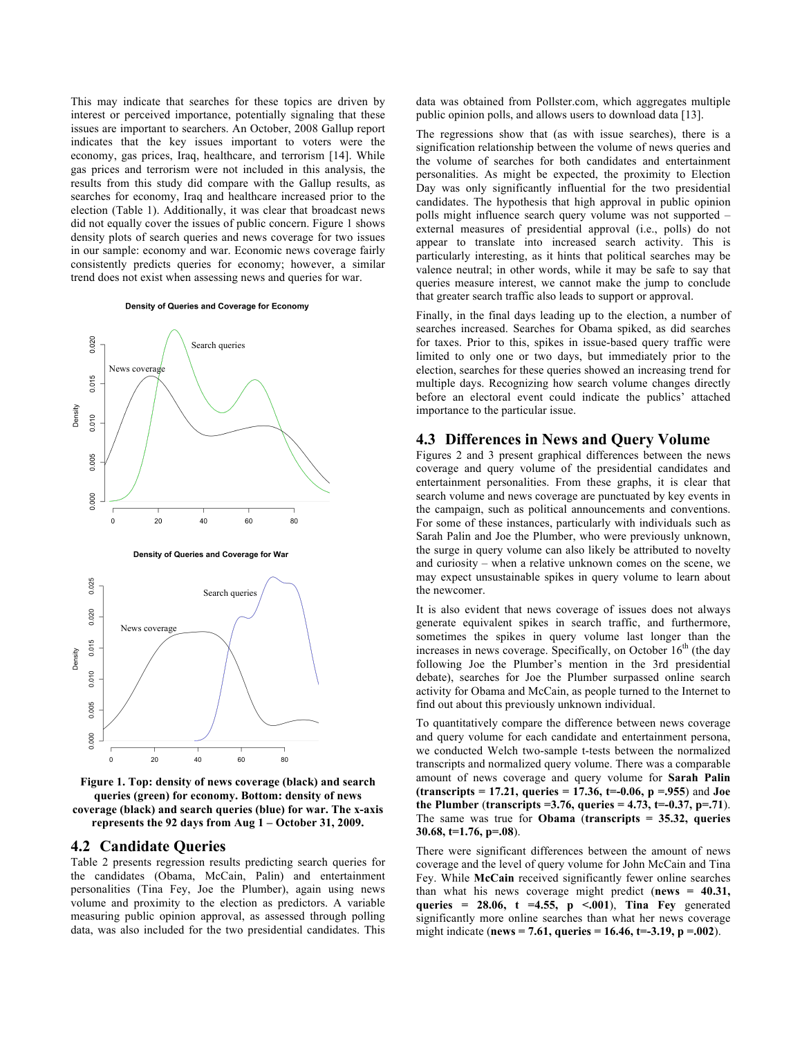This may indicate that searches for these topics are driven by interest or perceived importance, potentially signaling that these issues are important to searchers. An October, 2008 Gallup report indicates that the key issues important to voters were the economy, gas prices, Iraq, healthcare, and terrorism [14]. While gas prices and terrorism were not included in this analysis, the results from this study did compare with the Gallup results, as searches for economy, Iraq and healthcare increased prior to the election (Table 1). Additionally, it was clear that broadcast news did not equally cover the issues of public concern. Figure 1 shows density plots of search queries and news coverage for two issues in our sample: economy and war. Economic news coverage fairly consistently predicts queries for economy; however, a similar trend does not exist when assessing news and queries for war.

#### Density of Queries and Coverage for Economy





**Figure 1. Top: density of news coverage (black) and search queries (green) for economy. Bottom: density of news coverage (black) and search queries (blue) for war. The x-axis represents the 92 days from Aug 1 – October 31, 2009.**

#### **4.2 Candidate Queries**

Table 2 presents regression results predicting search queries for the candidates (Obama, McCain, Palin) and entertainment personalities (Tina Fey, Joe the Plumber), again using news volume and proximity to the election as predictors. A variable measuring public opinion approval, as assessed through polling data, was also included for the two presidential candidates. This

data was obtained from Pollster.com, which aggregates multiple public opinion polls, and allows users to download data [13].

The regressions show that (as with issue searches), there is a signification relationship between the volume of news queries and the volume of searches for both candidates and entertainment personalities. As might be expected, the proximity to Election Day was only significantly influential for the two presidential candidates. The hypothesis that high approval in public opinion polls might influence search query volume was not supported – external measures of presidential approval (i.e., polls) do not appear to translate into increased search activity. This is particularly interesting, as it hints that political searches may be valence neutral; in other words, while it may be safe to say that queries measure interest, we cannot make the jump to conclude that greater search traffic also leads to support or approval.

Finally, in the final days leading up to the election, a number of searches increased. Searches for Obama spiked, as did searches for taxes. Prior to this, spikes in issue-based query traffic were limited to only one or two days, but immediately prior to the election, searches for these queries showed an increasing trend for multiple days. Recognizing how search volume changes directly before an electoral event could indicate the publics' attached importance to the particular issue.

## **4.3 Differences in News and Query Volume**

Figures 2 and 3 present graphical differences between the news coverage and query volume of the presidential candidates and entertainment personalities. From these graphs, it is clear that search volume and news coverage are punctuated by key events in the campaign, such as political announcements and conventions. For some of these instances, particularly with individuals such as Sarah Palin and Joe the Plumber, who were previously unknown, the surge in query volume can also likely be attributed to novelty and curiosity – when a relative unknown comes on the scene, we may expect unsustainable spikes in query volume to learn about the newcomer.

It is also evident that news coverage of issues does not always generate equivalent spikes in search traffic, and furthermore, sometimes the spikes in query volume last longer than the increases in news coverage. Specifically, on October  $16<sup>th</sup>$  (the day following Joe the Plumber's mention in the 3rd presidential debate), searches for Joe the Plumber surpassed online search activity for Obama and McCain, as people turned to the Internet to find out about this previously unknown individual.

To quantitatively compare the difference between news coverage and query volume for each candidate and entertainment persona, we conducted Welch two-sample t-tests between the normalized transcripts and normalized query volume. There was a comparable amount of news coverage and query volume for **Sarah Palin (transcripts = 17.21, queries = 17.36, t=-0.06, p =.955**) and **Joe the Plumber** (**transcripts =3.76, queries = 4.73, t=-0.37, p=.71**). The same was true for **Obama** (**transcripts = 35.32, queries 30.68, t=1.76, p=.08**).

There were significant differences between the amount of news coverage and the level of query volume for John McCain and Tina Fey. While **McCain** received significantly fewer online searches than what his news coverage might predict (**news = 40.31, queries = 28.06, t =4.55, p <.001**), **Tina Fey** generated significantly more online searches than what her news coverage might indicate (**news = 7.61, queries = 16.46, t=-3.19, p =.002**).